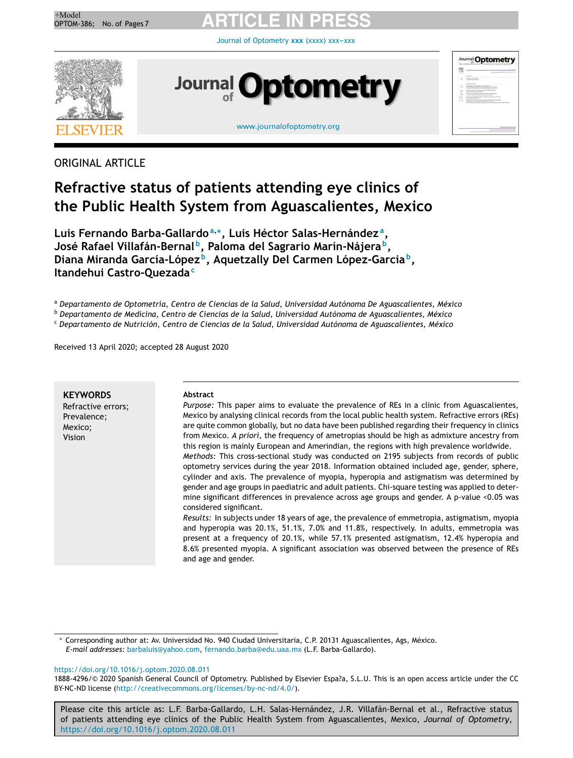

Journal of [Optometry](https://doi.org/10.1016/j.optom.2020.08.011) xxx (xxxx) xxx-xxx



### ORIGINAL ARTICLE

### **Refractive status of patients attending eye clinics of the Public Health System from Aguascalientes, Mexico**

**Luis Fernando Barba-Gallardo<sup>a</sup>**,<sup>∗</sup> **, Luis Héctor Salas-Hernández <sup>a</sup> , José Rafael Villafán-Bernal <sup>b</sup> , Paloma del Sagrario Marín-Nájera <sup>b</sup> , Diana Miranda García-López <sup>b</sup> , Aquetzally Del Carmen López-Garcia <sup>b</sup> , Itandehui Castro-Quezada<sup>c</sup>**

<sup>a</sup> *Departamento de Optometría, Centro de Ciencias de la Salud, Universidad Autónoma De Aguascalientes, México*

<sup>b</sup> *Departamento de Medicina, Centro de Ciencias de la Salud, Universidad Autónoma de Aguascalientes, México*

<sup>c</sup> *Departamento de Nutrición, Centro de Ciencias de la Salud, Universidad Autónoma de Aguascalientes, México*

Received 13 April 2020; accepted 28 August 2020

| <b>KEYWORDS</b>    |
|--------------------|
| Refractive errors; |
| Prevalence;        |
| Mexico;            |
| Vision             |

#### **Abstract**

*Purpose:* This paper aims to evaluate the prevalence of REs in a clinic from Aguascalientes, Mexico by analysing clinical records from the local public health system. Refractive errors (REs) are quite common globally, but no data have been published regarding their frequency in clinics from Mexico. *A priori,* the frequency of ametropias should be high as admixture ancestry from this region is mainly European and Amerindian, the regions with high prevalence worldwide. *Methods:* This cross-sectional study was conducted on 2195 subjects from records of public optometry services during the year 2018. Information obtained included age, gender, sphere, cylinder and axis. The prevalence of myopia, hyperopia and astigmatism was determined by gender and age groups in paediatric and adult patients. Chi-square testing was applied to determine significant differences in prevalence across age groups and gender. A p-value <0.05 was considered significant.

*Results:* In subjects under 18 years of age, the prevalence of emmetropia, astigmatism, myopia and hyperopia was 20.1%, 51.1%, 7.0% and 11.8%, respectively. In adults, emmetropia was present at a frequency of 20.1%, while 57.1% presented astigmatism, 12.4% hyperopia and 8.6% presented myopia. A significant association was observed between the presence of REs and age and gender.

<sup>∗</sup> Corresponding author at: Av. Universidad No. 940 Ciudad Universitaria, C.P. 20131 Aguascalientes, Ags, México. *E-mail addresses:* [barbaluis@yahoo.com,](mailto:barbaluis@yahoo.com) [fernando.barba@edu.uaa.mx](mailto:fernando.barba@edu.uaa.mx) (L.F. Barba-Gallardo).

#### <https://doi.org/10.1016/j.optom.2020.08.011>

1888-4296/© 2020 Spanish General Council of Optometry. Published by Elsevier Espa?a, S.L.U. This is an open access article under the CC BY-NC-ND license (<http://creativecommons.org/licenses/by-nc-nd/4.0/>).

Please cite this article as: L.F. Barba-Gallardo, L.H. Salas-Hernández, J.R. Villafán-Bernal et al., Refractive status of patients attending eye clinics of the Public Health System from Aguascalientes, Mexico, *Journal of Optometry*, <https://doi.org/10.1016/j.optom.2020.08.011>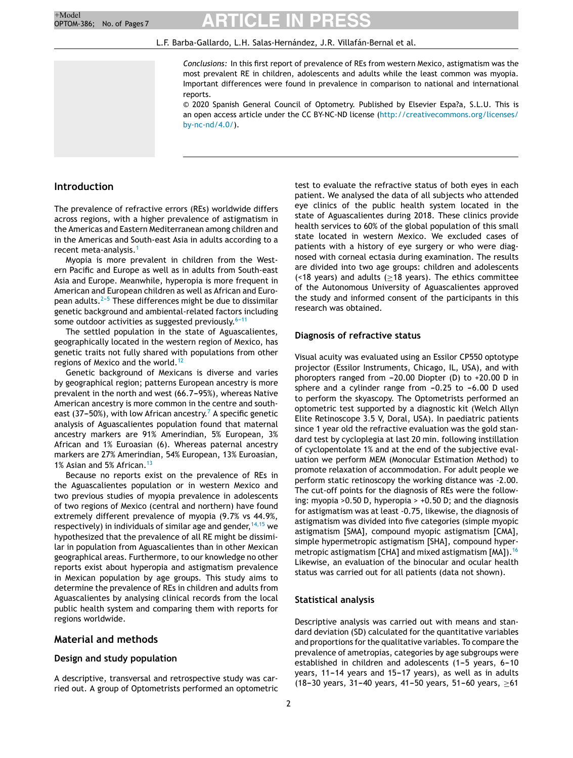#### L.F. Barba-Gallardo, L.H. Salas-Hernández, J.R. Villafán-Bernal et al.

*Conclusions:* In this first report of prevalence of REs from western Mexico, astigmatism was the most prevalent RE in children, adolescents and adults while the least common was myopia. Important differences were found in prevalence in comparison to national and international reports.

© 2020 Spanish General Council of Optometry. Published by Elsevier Espa?a, S.L.U. This is an open access article under the CC BY-NC-ND license [\(http://creativecommons.org/licenses/](http://creativecommons.org/licenses/by-nc-nd/4.0/) [by-nc-nd/4.0/](http://creativecommons.org/licenses/by-nc-nd/4.0/)).

#### **Introduction**

The prevalence of refractive errors (REs) worldwide differs across regions, with a higher prevalence of astigmatism in the Americas and Eastern Mediterranean among children and in the Americas and South-east Asia in adults according to a recent meta-analysis.[1](#page-5-0)

Myopia is more prevalent in children from the Western Pacific and Europe as well as in adults from South-east Asia and Europe. Meanwhile, hyperopia is more frequent in American and European children as well as African and European adults. $2-5$  These differences might be due to dissimilar genetic background and ambiental-related factors including some outdoor activities as suggested previously. $6-11$ 

The settled population in the state of Aguascalientes, geographically located in the western region of Mexico, has genetic traits not fully shared with populations from other regions of Mexico and the world.<sup>[12](#page-5-0)</sup>

Genetic background of Mexicans is diverse and varies by geographical region; patterns European ancestry is more prevalent in the north and west (66.7-95%), whereas Native American ancestry is more common in the centre and south-east (37–50%), with low [A](#page-5-0)frican ancestry.<sup>7</sup> A specific genetic analysis of Aguascalientes population found that maternal ancestry markers are 91% Amerindian, 5% European, 3% African and 1% Euroasian (6). Whereas paternal ancestry markers are 27% Amerindian, 54% European, 13% Euroasian, 1% Asian and 5% African.<sup>[13](#page-5-0)</sup>

Because no reports exist on the prevalence of REs in the Aguascalientes population or in western Mexico and two previous studies of myopia prevalence in adolescents of two regions of Mexico (central and northern) have found extremely different prevalence of myopia (9.7% vs 44.9%, respectively) in individuals of similar age and gender,  $14,15$  we hypothesized that the prevalence of all RE might be dissimilar in population from Aguascalientes than in other Mexican geographical areas. Furthermore, to our knowledge no other reports exist about hyperopia and astigmatism prevalence in Mexican population by age groups. This study aims to determine the prevalence of REs in children and adults from Aguascalientes by analysing clinical records from the local public health system and comparing them with reports for regions worldwide.

#### **Material and methods**

#### **Design and study population**

A descriptive, transversal and retrospective study was carried out. A group of Optometrists performed an optometric

test to evaluate the refractive status of both eyes in each patient. We analysed the data of all subjects who attended eye clinics of the public health system located in the state of Aguascalientes during 2018. These clinics provide health services to 60% of the global population of this small state located in western Mexico. We excluded cases of patients with a history of eye surgery or who were diagnosed with corneal ectasia during examination. The results are divided into two age groups: children and adolescents (<18 years) and adults (≥18 years). The ethics committee of the Autonomous University of Aguascalientes approved the study and informed consent of the participants in this research was obtained.

#### **Diagnosis of refractive status**

Visual acuity was evaluated using an Essilor CP550 optotype projector (Essilor Instruments, Chicago, IL, USA), and with phoropters ranged from  $-20.00$  Diopter (D) to  $+20.00$  D in sphere and a cylinder range from  $-0.25$  to  $-6.00$  D used to perform the skyascopy. The Optometrists performed an optometric test supported by a diagnostic kit (Welch Allyn Elite Retinoscope 3.5 V, Doral, USA). In paediatric patients since 1 year old the refractive evaluation was the gold standard test by cycloplegia at last 20 min. following instillation of cyclopentolate 1% and at the end of the subjective evaluation we perform MEM (Monocular Estimation Method) to promote relaxation of accommodation. For adult people we perform static retinoscopy the working distance was -2.00. The cut-off points for the diagnosis of REs were the following: myopia >0.50 D, hyperopia > +0.50 D; and the diagnosis for astigmatism was at least -0.75, likewise, the diagnosis of astigmatism was divided into five categories (simple myopic astigmatism [SMA], compound myopic astigmatism [CMA], simple hypermetropic astigmatism [SHA], compound hyper-metropic astigmatism [CHA] and mixed astigmatism [MA]).<sup>[16](#page-5-0)</sup> Likewise, an evaluation of the binocular and ocular health status was carried out for all patients (data not shown).

#### **Statistical analysis**

Descriptive analysis was carried out with means and standard deviation (SD) calculated for the quantitative variables and proportions for the qualitative variables. To compare the prevalence of ametropias, categories by age subgroups were established in children and adolescents  $(1-5$  years,  $6-10$ years,  $11-14$  years and  $15-17$  years), as well as in adults (18-30 years, 31-40 years, 41-50 years, 51-60 years,  $>61$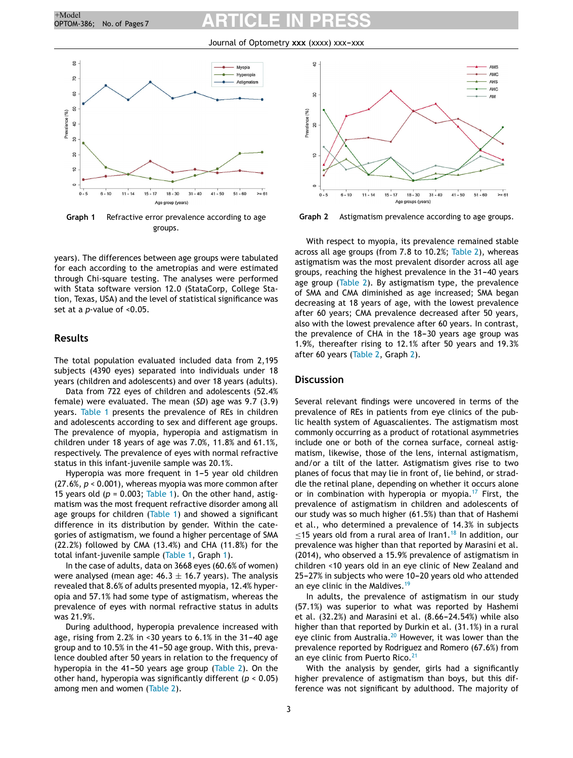Journal of Optometry xxx (xxxx) xxx-xxx



**Graph 1** Refractive error prevalence according to age groups.

years). The differences between age groups were tabulated for each according to the ametropias and were estimated through Chi-square testing. The analyses were performed with Stata software version 12.0 (StataCorp, College Station, Texas, USA) and the level of statistical significance was set at a *p*-value of <0.05.

#### **Results**

The total population evaluated included data from 2,195 subjects (4390 eyes) separated into individuals under 18 years (children and adolescents) and over 18 years (adults).

Data from 722 eyes of children and adolescents (52.4% female) were evaluated. The mean (*SD*) age was 9.7 (3.9) years. [Table](#page-3-0) 1 presents the prevalence of REs in children and adolescents according to sex and different age groups. The prevalence of myopia, hyperopia and astigmatism in children under 18 years of age was 7.0%, 11.8% and 61.1%, respectively. The prevalence of eyes with normal refractive status in this infant-juvenile sample was 20.1%.

Hyperopia was more frequent in 1-5 year old children (27.6%, *p* < 0.001), whereas myopia was more common after 15 years old ( $p = 0.003$ ; [Table](#page-3-0) 1). On the other hand, astigmatism was the most frequent refractive disorder among all age groups for children ([Table](#page-3-0) 1) and showed a significant difference in its distribution by gender. Within the categories of astigmatism, we found a higher percentage of SMA (22.2%) followed by CMA (13.4%) and CHA (11.8%) for the total infant-juvenile sample [\(Table](#page-3-0) 1, Graph 1).

In the case of adults, data on 3668 eyes (60.6% of women) were analysed (mean age:  $46.3 \pm 16.7$  years). The analysis revealed that 8.6% of adults presented myopia, 12.4% hyperopia and 57.1% had some type of astigmatism, whereas the prevalence of eyes with normal refractive status in adults was 21.9%.

During adulthood, hyperopia prevalence increased with age, rising from 2.2% in <30 years to  $6.1\%$  in the 31-40 age group and to 10.5% in the 41-50 age group. With this, prevalence doubled after 50 years in relation to the frequency of hyperopia in the 41-50 years age group ([Table](#page-4-0) 2). On the other hand, hyperopia was significantly different (*p* < 0.05) among men and women ([Table](#page-4-0) 2).



**Graph 2** Astigmatism prevalence according to age groups.

With respect to myopia, its prevalence remained stable across all age groups (from 7.8 to 10.2%; [Table](#page-4-0) 2), whereas astigmatism was the most prevalent disorder across all age groups, reaching the highest prevalence in the 31-40 years age group [\(Table](#page-4-0) 2). By astigmatism type, the prevalence of SMA and CMA diminished as age increased; SMA began decreasing at 18 years of age, with the lowest prevalence after 60 years; CMA prevalence decreased after 50 years, also with the lowest prevalence after 60 years. In contrast, the prevalence of CHA in the  $18-30$  years age group was 1.9%, thereafter rising to 12.1% after 50 years and 19.3% after 60 years [\(Table](#page-4-0) 2, Graph 2).

#### **Discussion**

Several relevant findings were uncovered in terms of the prevalence of REs in patients from eye clinics of the public health system of Aguascalientes. The astigmatism most commonly occurring as a product of rotational asymmetries include one or both of the cornea surface, corneal astigmatism, likewise, those of the lens, internal astigmatism, and/or a tilt of the latter. Astigmatism gives rise to two planes of focus that may lie in front of, lie behind, or straddle the retinal plane, depending on whether it occurs alone or in combination with hyperopia or myopia.<sup>[17](#page-5-0)</sup> First, the prevalence of astigmatism in children and adolescents of our study was so much higher (61.5%) than that of Hashemi et al., who determined a prevalence of 14.3% in subjects  $\leq$ 15 years old from a rural area of Iran1.<sup>[18](#page-5-0)</sup> In addition, our prevalence was higher than that reported by Marasini et al. (2014), who observed a 15.9% prevalence of astigmatism in children <10 years old in an eye clinic of New Zealand and 25-27% in subjects who were 10-20 years old who attended an eye clinic in the Maldives.<sup>[19](#page-5-0)</sup>

In adults, the prevalence of astigmatism in our study (57.1%) was superior to what was reported by Hashemi et al.  $(32.2%)$  and Marasini et al.  $(8.66-24.54%)$  while also higher than that reported by Durkin et al. (31.1%) in a rural eye clinic from Australia.<sup>[20](#page-5-0)</sup> However, it was lower than the prevalence reported by Rodriguez and Romero (67.6%) from an eye clinic from Puerto Rico.<sup>[21](#page-5-0)</sup>

With the analysis by gender, girls had a significantly higher prevalence of astigmatism than boys, but this difference was not significant by adulthood. The majority of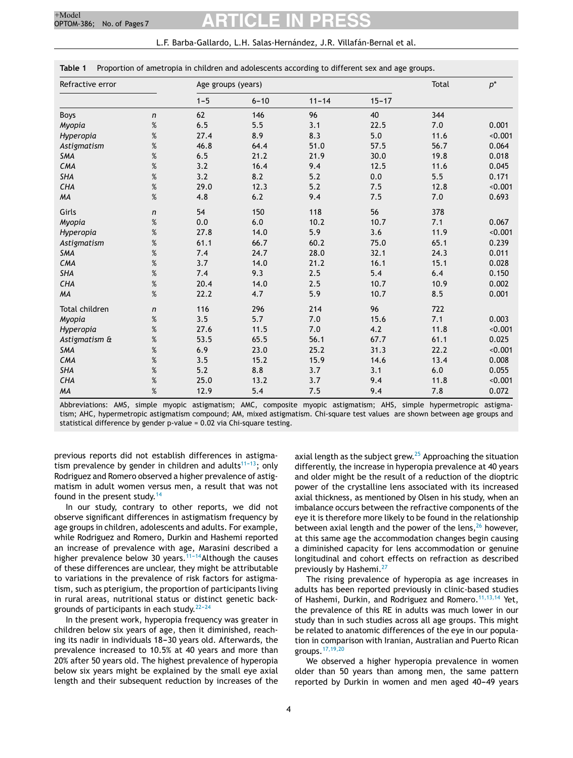|  | L.F. Barba-Gallardo, L.H. Salas-Hernández, J.R. Villafán-Bernal et al. |
|--|------------------------------------------------------------------------|
|--|------------------------------------------------------------------------|

<span id="page-3-0"></span>

| Table 1 |  | Proportion of ametropia in children and adolescents according to different sex and age groups. |  |  |
|---------|--|------------------------------------------------------------------------------------------------|--|--|
|         |  |                                                                                                |  |  |

| Refractive error |                  | Age groups (years) |          | Total     | $p^*$     |      |         |
|------------------|------------------|--------------------|----------|-----------|-----------|------|---------|
|                  |                  | $1 - 5$            | $6 - 10$ | $11 - 14$ | $15 - 17$ |      |         |
| <b>Boys</b>      | n                | 62                 | 146      | 96        | 40        | 344  |         |
| Myopia           | $\%$             | 6.5                | 5.5      | 3.1       | 22.5      | 7.0  | 0.001   |
| Hyperopia        | $\%$             | 27.4               | 8.9      | 8.3       | 5.0       | 11.6 | < 0.001 |
| Astigmatism      | %                | 46.8               | 64.4     | 51.0      | 57.5      | 56.7 | 0.064   |
| SMA              | $\%$             | 6.5                | 21.2     | 21.9      | 30.0      | 19.8 | 0.018   |
| <b>CMA</b>       | %                | 3.2                | 16.4     | 9.4       | 12.5      | 11.6 | 0.045   |
| <b>SHA</b>       | %                | 3.2                | 8.2      | 5.2       | 0.0       | 5.5  | 0.171   |
| <b>CHA</b>       | $\%$             | 29.0               | 12.3     | 5.2       | 7.5       | 12.8 | < 0.001 |
| MA               | %                | 4.8                | 6.2      | 9.4       | 7.5       | 7.0  | 0.693   |
| Girls            | $\boldsymbol{n}$ | 54                 | 150      | 118       | 56        | 378  |         |
| Myopia           | %                | 0.0                | 6.0      | 10.2      | 10.7      | 7.1  | 0.067   |
| Hyperopia        | %                | 27.8               | 14.0     | 5.9       | 3.6       | 11.9 | < 0.001 |
| Astigmatism      | $\%$             | 61.1               | 66.7     | 60.2      | 75.0      | 65.1 | 0.239   |
| <b>SMA</b>       | $\%$             | 7.4                | 24.7     | 28.0      | 32.1      | 24.3 | 0.011   |
| <b>CMA</b>       | %                | 3.7                | 14.0     | 21.2      | 16.1      | 15.1 | 0.028   |
| <b>SHA</b>       | $\%$             | 7.4                | 9.3      | 2.5       | 5.4       | 6.4  | 0.150   |
| <b>CHA</b>       | $\%$             | 20.4               | 14.0     | 2.5       | 10.7      | 10.9 | 0.002   |
| <b>MA</b>        | %                | 22.2               | 4.7      | 5.9       | 10.7      | 8.5  | 0.001   |
| Total children   | $\mathsf{n}$     | 116                | 296      | 214       | 96        | 722  |         |
| Myopia           | $\%$             | 3.5                | 5.7      | 7.0       | 15.6      | 7.1  | 0.003   |
| Hyperopia        | $\%$             | 27.6               | 11.5     | 7.0       | 4.2       | 11.8 | < 0.001 |
| Astigmatism &    | %                | 53.5               | 65.5     | 56.1      | 67.7      | 61.1 | 0.025   |
| <b>SMA</b>       | $\%$             | 6.9                | 23.0     | 25.2      | 31.3      | 22.2 | < 0.001 |
| <b>CMA</b>       | $\%$             | 3.5                | 15.2     | 15.9      | 14.6      | 13.4 | 0.008   |
| <b>SHA</b>       | $\%$             | 5.2                | 8.8      | 3.7       | 3.1       | 6.0  | 0.055   |
| CHA              | $\%$             | 25.0               | 13.2     | 3.7       | 9.4       | 11.8 | < 0.001 |
| <b>MA</b>        | $\%$             | 12.9               | 5.4      | 7.5       | 9.4       | 7.8  | 0.072   |

Abbreviations: AMS, simple myopic astigmatism; AMC, composite myopic astigmatism; AHS, simple hypermetropic astigmatism; AHC, hypermetropic astigmatism compound; AM, mixed astigmatism. Chi-square test values are shown between age groups and statistical difference by gender p-value = 0.02 via Chi-square testing.

previous reports did not establish differences in astigmatism prevalence by gender in children and adults<sup>11-13</sup>; only Rodriguez and Romero observed a higher prevalence of astigmatism in adult women versus men, a result that was not found in the present study.<sup>[14](#page-5-0)</sup>

In our study, contrary to other reports, we did not observe significant differences in astigmatism frequency by age groups in children, adolescents and adults. For example, while Rodriguez and Romero, Durkin and Hashemi reported an increase of prevalence with age, Marasini described a higher prevalence below 30 years.<sup>11-14</sup> Although the causes of these differences are unclear, they might be attributable to variations in the prevalence of risk factors for astigmatism, such as pterigium, the proportion of participants living in rural areas, nutritional status or distinct genetic backgrounds of participants in each study. $22-24$ 

In the present work, hyperopia frequency was greater in children below six years of age, then it diminished, reaching its nadir in individuals 18-30 years old. Afterwards, the prevalence increased to 10.5% at 40 years and more than 20% after 50 years old. The highest prevalence of hyperopia below six years might be explained by the small eye axial length and their subsequent reduction by increases of the axial length as the subject grew. $25$  Approaching the situation differently, the increase in hyperopia prevalence at 40 years and older might be the result of a reduction of the dioptric power of the crystalline lens associated with its increased axial thickness, as mentioned by Olsen in his study, when an imbalance occurs between the refractive components of the eye it is therefore more likely to be found in the relationship between axial length and the power of the lens, $26$  however, at this same age the accommodation changes begin causing a diminished capacity for lens accommodation or genuine longitudinal and cohort effects on refraction as described previously by Hashemi.<sup>[27](#page-5-0)</sup>

The rising prevalence of hyperopia as age increases in adults has been reported previously in clinic-based studies of Hashemi, Durkin, and Rodriguez and Romero.<sup>[11,13,14](#page-5-0)</sup> Yet, the prevalence of this RE in adults was much lower in our study than in such studies across all age groups. This might be related to anatomic differences of the eye in our population in comparison with Iranian, Australian and Puerto Rican groups.[17,19,20](#page-5-0)

We observed a higher hyperopia prevalence in women older than 50 years than among men, the same pattern reported by Durkin in women and men aged 40-49 years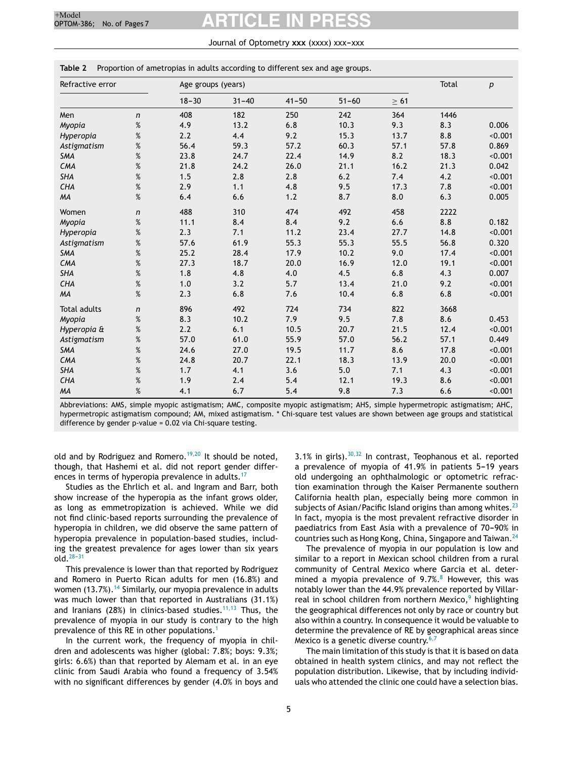#### Journal of Optometry xxx (xxxx) xxx-xxx

| Refractive error    |                  |           | Age groups (years) |           |           |           |       | $\boldsymbol{p}$ |
|---------------------|------------------|-----------|--------------------|-----------|-----------|-----------|-------|------------------|
|                     |                  | $18 - 30$ | $31 - 40$          | $41 - 50$ | $51 - 60$ | $\geq 61$ |       |                  |
| Men                 | n                | 408       | 182                | 250       | 242       | 364       | 1446  |                  |
| Myopia              | $\%$             | 4.9       | 13.2               | 6.8       | 10.3      | 9.3       | 8.3   | 0.006            |
| Hyperopia           | %                | 2.2       | 4.4                | 9.2       | 15.3      | 13.7      | 8.8   | < 0.001          |
| Astigmatism         | $\%$             | 56.4      | 59.3               | 57.2      | 60.3      | 57.1      | 57.8  | 0.869            |
| <b>SMA</b>          | $\%$             | 23.8      | 24.7               | 22.4      | 14.9      | 8.2       | 18.3  | < 0.001          |
| CMA                 | $\%$             | 21.8      | 24.2               | 26.0      | 21.1      | 16.2      | 21.3  | 0.042            |
| <b>SHA</b>          | $\%$             | 1.5       | 2.8                | 2.8       | 6.2       | 7.4       | 4.2   | < 0.001          |
| CHA                 | $\%$             | 2.9       | 1.1                | 4.8       | 9.5       | 17.3      | 7.8   | < 0.001          |
| MA                  | $\%$             | 6.4       | 6.6                | $1.2$     | 8.7       | 8.0       | 6.3   | 0.005            |
| Women               | $\mathsf{n}$     | 488       | 310                | 474       | 492       | 458       | 2222  |                  |
| Myopia              | $\%$             | 11.1      | 8.4                | 8.4       | 9.2       | 6.6       | 8.8   | 0.182            |
| Hyperopia           | $\%$             | 2.3       | 7.1                | 11.2      | 23.4      | 27.7      | 14.8  | < 0.001          |
| Astigmatism         | %                | 57.6      | 61.9               | 55.3      | 55.3      | 55.5      | 56.8  | 0.320            |
| SMA                 | $\%$             | 25.2      | 28.4               | 17.9      | 10.2      | 9.0       | 17.4  | < 0.001          |
| CMA                 | $\%$             | 27.3      | 18.7               | 20.0      | 16.9      | 12.0      | 19.1  | < 0.001          |
| <b>SHA</b>          | $\%$             | 1.8       | 4.8                | 4.0       | 4.5       | 6.8       | 4.3   | 0.007            |
| CHA                 | $\%$             | 1.0       | 3.2                | 5.7       | 13.4      | 21.0      | 9.2   | < 0.001          |
| MA                  | $\%$             | 2.3       | 6.8                | 7.6       | 10.4      | 6.8       | $6.8$ | < 0.001          |
| <b>Total adults</b> | $\boldsymbol{n}$ | 896       | 492                | 724       | 734       | 822       | 3668  |                  |
| Myopia              | $\%$             | 8.3       | 10.2               | 7.9       | 9.5       | 7.8       | 8.6   | 0.453            |
| Hyperopia &         | %                | 2.2       | 6.1                | 10.5      | 20.7      | 21.5      | 12.4  | < 0.001          |
| Astigmatism         | $\%$             | 57.0      | 61.0               | 55.9      | 57.0      | 56.2      | 57.1  | 0.449            |
| <b>SMA</b>          | $\%$             | 24.6      | 27.0               | 19.5      | 11.7      | 8.6       | 17.8  | < 0.001          |
| CMA                 | $\%$             | 24.8      | 20.7               | 22.1      | 18.3      | 13.9      | 20.0  | < 0.001          |
| <b>SHA</b>          | $\%$             | 1.7       | 4.1                | 3.6       | 5.0       | 7.1       | 4.3   | < 0.001          |
| CHA                 | $\%$             | 1.9       | 2.4                | 5.4       | 12.1      | 19.3      | 8.6   | < 0.001          |
| MA                  | $\%$             | 4.1       | 6.7                | 5.4       | 9.8       | 7.3       | 6.6   | < 0.001          |

<span id="page-4-0"></span>**Table 2** Proportion of ametropias in adults according to different sex and age groups.

Abbreviations: AMS, simple myopic astigmatism; AMC, composite myopic astigmatism; AHS, simple hypermetropic astigmatism; AHC, hypermetropic astigmatism compound; AM, mixed astigmatism. \* Chi-square test values are shown between age groups and statistical difference by gender p-value = 0.02 via Chi-square testing.

old and by Rodriguez and Romero.<sup>[19,20](#page-5-0)</sup> It should be noted, though, that Hashemi et al. did not report gender differ-ences in terms of hyperopia prevalence in adults.<sup>[17](#page-5-0)</sup>

Studies as the Ehrlich et al. and Ingram and Barr, both show increase of the hyperopia as the infant grows older, as long as emmetropization is achieved. While we did not find clinic-based reports surrounding the prevalence of hyperopia in children, we did observe the same pattern of hyperopia prevalence in population-based studies, including the greatest prevalence for ages lower than six years  $old.<sup>28-31</sup>$ 

This prevalence is lower than that reported by Rodriguez and Romero in Puerto Rican adults for men (16.8%) and women  $(13.7\%)$ .<sup>[14](#page-5-0)</sup> Similarly, our myopia prevalence in adults was much lower than that reported in Australians (31.1%) and Iranians (28%) in clinics-based studies.<sup>[11,13](#page-5-0)</sup> Thus, the prevalence of myopia in our study is contrary to the high prevalence of this RE in other populations.<sup>[1](#page-5-0)</sup>

In the current work, the frequency of myopia in children and adolescents was higher (global: 7.8%; boys: 9.3%; girls: 6.6%) than that reported by Alemam et al. in an eye clinic from Saudi Arabia who found a frequency of 3.54% with no significant differences by gender (4.0% in boys and 3.1% in girls). $30,32$  In contrast, Teophanous et al. reported a prevalence of myopia of  $41.9\%$  in patients  $5-19$  years old undergoing an ophthalmologic or optometric refraction examination through the Kaiser Permanente southern California health plan, especially being more common in subjects of Asian/Pacific Island origins than among whites. $^{23}$  $^{23}$  $^{23}$ In fact, myopia is the most prevalent refractive disorder in paediatrics from East Asia with a prevalence of 70-90% in countries such as Hong Kong, China, Singapore and Taiwan.[24](#page-5-0)

The prevalence of myopia in our population is low and similar to a report in Mexican school children from a rural community of Central Mexico where Garcia et al. determined a myopia prevalence of  $9.7\%$ .<sup>[8](#page-5-0)</sup> However, this was notably lower than the 44.9% prevalence reported by Villarreal in school children from northern Mexico, $9$  highlighting the geographical differences not only by race or country but also within a country. In consequence it would be valuable to determine the prevalence of RE by geographical areas since Mexico is a genetic diverse country.  $6,7$ 

The main limitation of this study is that it is based on data obtained in health system clinics, and may not reflect the population distribution. Likewise, that by including individuals who attended the clinic one could have a selection bias.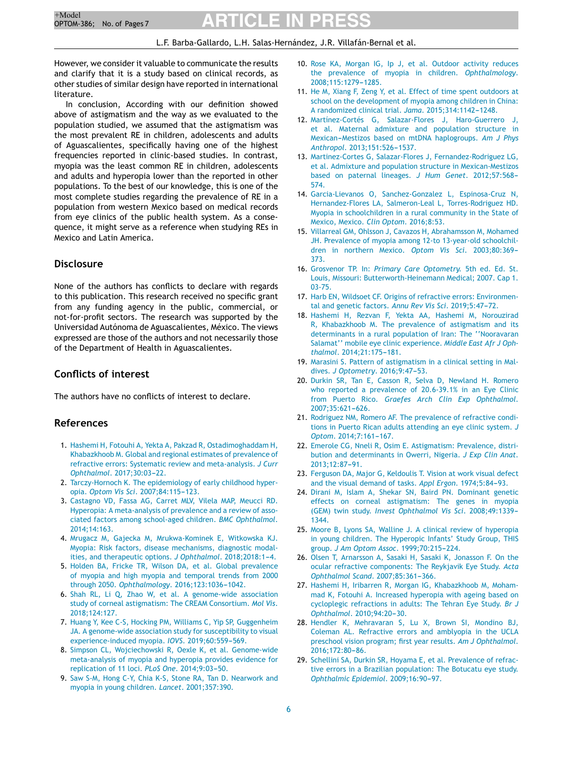#### L.F. Barba-Gallardo, L.H. Salas-Hernández, J.R. Villafán-Bernal et al.

<span id="page-5-0"></span>However, we consider it valuable to communicate the results and clarify that it is a study based on clinical records, as other studies of similar design have reported in international literature.

In conclusion, According with our definition showed above of astigmatism and the way as we evaluated to the population studied, we assumed that the astigmatism was the most prevalent RE in children, adolescents and adults of Aguascalientes, specifically having one of the highest frequencies reported in clinic-based studies. In contrast, myopia was the least common RE in children, adolescents and adults and hyperopia lower than the reported in other populations. To the best of our knowledge, this is one of the most complete studies regarding the prevalence of RE in a population from western Mexico based on medical records from eye clinics of the public health system. As a consequence, it might serve as a reference when studying REs in Mexico and Latin America.

#### **Disclosure**

None of the authors has conflicts to declare with regards to this publication. This research received no specific grant from any funding agency in the public, commercial, or not-for-profit sectors. The research was supported by the Universidad Autónoma de Aguascalientes, México. The views expressed are those of the authors and not necessarily those of the Department of Health in Aguascalientes.

#### **Conflicts of interest**

The authors have no conflicts of interest to declare.

#### **References**

- 1. [Hashemi](http://refhub.elsevier.com/S1888-4296(20)30126-6/sbref0005) [H,](http://refhub.elsevier.com/S1888-4296(20)30126-6/sbref0005) [Fotouhi](http://refhub.elsevier.com/S1888-4296(20)30126-6/sbref0005) [A,](http://refhub.elsevier.com/S1888-4296(20)30126-6/sbref0005) [Yekta](http://refhub.elsevier.com/S1888-4296(20)30126-6/sbref0005) [A,](http://refhub.elsevier.com/S1888-4296(20)30126-6/sbref0005) [Pakzad](http://refhub.elsevier.com/S1888-4296(20)30126-6/sbref0005) [R,](http://refhub.elsevier.com/S1888-4296(20)30126-6/sbref0005) [Ostadimoghaddam](http://refhub.elsevier.com/S1888-4296(20)30126-6/sbref0005) [H,](http://refhub.elsevier.com/S1888-4296(20)30126-6/sbref0005) [Khabazkhoob](http://refhub.elsevier.com/S1888-4296(20)30126-6/sbref0005) [M.](http://refhub.elsevier.com/S1888-4296(20)30126-6/sbref0005) [Global](http://refhub.elsevier.com/S1888-4296(20)30126-6/sbref0005) [and](http://refhub.elsevier.com/S1888-4296(20)30126-6/sbref0005) [regional](http://refhub.elsevier.com/S1888-4296(20)30126-6/sbref0005) [estimates](http://refhub.elsevier.com/S1888-4296(20)30126-6/sbref0005) [of](http://refhub.elsevier.com/S1888-4296(20)30126-6/sbref0005) [prevalence](http://refhub.elsevier.com/S1888-4296(20)30126-6/sbref0005) [of](http://refhub.elsevier.com/S1888-4296(20)30126-6/sbref0005) [refractive](http://refhub.elsevier.com/S1888-4296(20)30126-6/sbref0005) [errors:](http://refhub.elsevier.com/S1888-4296(20)30126-6/sbref0005) [Systematic](http://refhub.elsevier.com/S1888-4296(20)30126-6/sbref0005) [review](http://refhub.elsevier.com/S1888-4296(20)30126-6/sbref0005) [and](http://refhub.elsevier.com/S1888-4296(20)30126-6/sbref0005) [meta-analysis.](http://refhub.elsevier.com/S1888-4296(20)30126-6/sbref0005) *[J](http://refhub.elsevier.com/S1888-4296(20)30126-6/sbref0005) [Curr](http://refhub.elsevier.com/S1888-4296(20)30126-6/sbref0005) [Ophthalmol](http://refhub.elsevier.com/S1888-4296(20)30126-6/sbref0005)[.](http://refhub.elsevier.com/S1888-4296(20)30126-6/sbref0005)* 2017:30:03-22.
- 2. [Tarczy-Hornoch](http://refhub.elsevier.com/S1888-4296(20)30126-6/sbref0010) [K.](http://refhub.elsevier.com/S1888-4296(20)30126-6/sbref0010) [The](http://refhub.elsevier.com/S1888-4296(20)30126-6/sbref0010) [epidemiology](http://refhub.elsevier.com/S1888-4296(20)30126-6/sbref0010) [of](http://refhub.elsevier.com/S1888-4296(20)30126-6/sbref0010) [early](http://refhub.elsevier.com/S1888-4296(20)30126-6/sbref0010) [childhood](http://refhub.elsevier.com/S1888-4296(20)30126-6/sbref0010) [hyper](http://refhub.elsevier.com/S1888-4296(20)30126-6/sbref0010)[opia.](http://refhub.elsevier.com/S1888-4296(20)30126-6/sbref0010) *[Optom](http://refhub.elsevier.com/S1888-4296(20)30126-6/sbref0010) [Vis](http://refhub.elsevier.com/S1888-4296(20)30126-6/sbref0010) [Sci](http://refhub.elsevier.com/S1888-4296(20)30126-6/sbref0010)[.](http://refhub.elsevier.com/S1888-4296(20)30126-6/sbref0010)* 2007;84:115-123.
- 3. [Castagno](http://refhub.elsevier.com/S1888-4296(20)30126-6/sbref0015) [VD,](http://refhub.elsevier.com/S1888-4296(20)30126-6/sbref0015) [Fassa](http://refhub.elsevier.com/S1888-4296(20)30126-6/sbref0015) [AG,](http://refhub.elsevier.com/S1888-4296(20)30126-6/sbref0015) [Carret](http://refhub.elsevier.com/S1888-4296(20)30126-6/sbref0015) [MLV,](http://refhub.elsevier.com/S1888-4296(20)30126-6/sbref0015) [Vilela](http://refhub.elsevier.com/S1888-4296(20)30126-6/sbref0015) [MAP,](http://refhub.elsevier.com/S1888-4296(20)30126-6/sbref0015) [Meucci](http://refhub.elsevier.com/S1888-4296(20)30126-6/sbref0015) [RD.](http://refhub.elsevier.com/S1888-4296(20)30126-6/sbref0015) [Hyperopia:](http://refhub.elsevier.com/S1888-4296(20)30126-6/sbref0015) [A](http://refhub.elsevier.com/S1888-4296(20)30126-6/sbref0015) [meta-analysis](http://refhub.elsevier.com/S1888-4296(20)30126-6/sbref0015) [of](http://refhub.elsevier.com/S1888-4296(20)30126-6/sbref0015) [prevalence](http://refhub.elsevier.com/S1888-4296(20)30126-6/sbref0015) [and](http://refhub.elsevier.com/S1888-4296(20)30126-6/sbref0015) [a](http://refhub.elsevier.com/S1888-4296(20)30126-6/sbref0015) [review](http://refhub.elsevier.com/S1888-4296(20)30126-6/sbref0015) [of](http://refhub.elsevier.com/S1888-4296(20)30126-6/sbref0015) [asso](http://refhub.elsevier.com/S1888-4296(20)30126-6/sbref0015)[ciated](http://refhub.elsevier.com/S1888-4296(20)30126-6/sbref0015) [factors](http://refhub.elsevier.com/S1888-4296(20)30126-6/sbref0015) [among](http://refhub.elsevier.com/S1888-4296(20)30126-6/sbref0015) [school-aged](http://refhub.elsevier.com/S1888-4296(20)30126-6/sbref0015) [children.](http://refhub.elsevier.com/S1888-4296(20)30126-6/sbref0015) *[BMC](http://refhub.elsevier.com/S1888-4296(20)30126-6/sbref0015) [Ophthalmol](http://refhub.elsevier.com/S1888-4296(20)30126-6/sbref0015)*[.](http://refhub.elsevier.com/S1888-4296(20)30126-6/sbref0015) [2014;14:163.](http://refhub.elsevier.com/S1888-4296(20)30126-6/sbref0015)
- 4. [Mrugacz](http://refhub.elsevier.com/S1888-4296(20)30126-6/sbref0020) [M,](http://refhub.elsevier.com/S1888-4296(20)30126-6/sbref0020) [Gajecka](http://refhub.elsevier.com/S1888-4296(20)30126-6/sbref0020) [M,](http://refhub.elsevier.com/S1888-4296(20)30126-6/sbref0020) [Mrukwa-Kominek](http://refhub.elsevier.com/S1888-4296(20)30126-6/sbref0020) [E,](http://refhub.elsevier.com/S1888-4296(20)30126-6/sbref0020) [Witkowska](http://refhub.elsevier.com/S1888-4296(20)30126-6/sbref0020) [KJ.](http://refhub.elsevier.com/S1888-4296(20)30126-6/sbref0020) [Myopia:](http://refhub.elsevier.com/S1888-4296(20)30126-6/sbref0020) [Risk](http://refhub.elsevier.com/S1888-4296(20)30126-6/sbref0020) [factors,](http://refhub.elsevier.com/S1888-4296(20)30126-6/sbref0020) [disease](http://refhub.elsevier.com/S1888-4296(20)30126-6/sbref0020) [mechanisms,](http://refhub.elsevier.com/S1888-4296(20)30126-6/sbref0020) [diagnostic](http://refhub.elsevier.com/S1888-4296(20)30126-6/sbref0020) [modal](http://refhub.elsevier.com/S1888-4296(20)30126-6/sbref0020)[ities,](http://refhub.elsevier.com/S1888-4296(20)30126-6/sbref0020) [and](http://refhub.elsevier.com/S1888-4296(20)30126-6/sbref0020) [therapeutic](http://refhub.elsevier.com/S1888-4296(20)30126-6/sbref0020) [options.](http://refhub.elsevier.com/S1888-4296(20)30126-6/sbref0020) *[J](http://refhub.elsevier.com/S1888-4296(20)30126-6/sbref0020) [Ophthalmol](http://refhub.elsevier.com/S1888-4296(20)30126-6/sbref0020)*[.](http://refhub.elsevier.com/S1888-4296(20)30126-6/sbref0020) [2018;2018:1](http://refhub.elsevier.com/S1888-4296(20)30126-6/sbref0020)-[4.](http://refhub.elsevier.com/S1888-4296(20)30126-6/sbref0020)
- 5. [Holden](http://refhub.elsevier.com/S1888-4296(20)30126-6/sbref0025) [BA,](http://refhub.elsevier.com/S1888-4296(20)30126-6/sbref0025) [Fricke](http://refhub.elsevier.com/S1888-4296(20)30126-6/sbref0025) [TR,](http://refhub.elsevier.com/S1888-4296(20)30126-6/sbref0025) [Wilson](http://refhub.elsevier.com/S1888-4296(20)30126-6/sbref0025) [DA,](http://refhub.elsevier.com/S1888-4296(20)30126-6/sbref0025) [et](http://refhub.elsevier.com/S1888-4296(20)30126-6/sbref0025) [al.](http://refhub.elsevier.com/S1888-4296(20)30126-6/sbref0025) [Global](http://refhub.elsevier.com/S1888-4296(20)30126-6/sbref0025) [prevalence](http://refhub.elsevier.com/S1888-4296(20)30126-6/sbref0025) [of](http://refhub.elsevier.com/S1888-4296(20)30126-6/sbref0025) [myopia](http://refhub.elsevier.com/S1888-4296(20)30126-6/sbref0025) [and](http://refhub.elsevier.com/S1888-4296(20)30126-6/sbref0025) [high](http://refhub.elsevier.com/S1888-4296(20)30126-6/sbref0025) [myopia](http://refhub.elsevier.com/S1888-4296(20)30126-6/sbref0025) [and](http://refhub.elsevier.com/S1888-4296(20)30126-6/sbref0025) [temporal](http://refhub.elsevier.com/S1888-4296(20)30126-6/sbref0025) [trends](http://refhub.elsevier.com/S1888-4296(20)30126-6/sbref0025) [from](http://refhub.elsevier.com/S1888-4296(20)30126-6/sbref0025) [2000](http://refhub.elsevier.com/S1888-4296(20)30126-6/sbref0025) [through](http://refhub.elsevier.com/S1888-4296(20)30126-6/sbref0025) [2050.](http://refhub.elsevier.com/S1888-4296(20)30126-6/sbref0025) [Ophthalmology](http://refhub.elsevier.com/S1888-4296(20)30126-6/sbref0025)[.](http://refhub.elsevier.com/S1888-4296(20)30126-6/sbref0025) [2016;123:1036](http://refhub.elsevier.com/S1888-4296(20)30126-6/sbref0025)-[1042.](http://refhub.elsevier.com/S1888-4296(20)30126-6/sbref0025)
- 6. [Shah](http://refhub.elsevier.com/S1888-4296(20)30126-6/sbref0030) [RL,](http://refhub.elsevier.com/S1888-4296(20)30126-6/sbref0030) [Li](http://refhub.elsevier.com/S1888-4296(20)30126-6/sbref0030) [Q,](http://refhub.elsevier.com/S1888-4296(20)30126-6/sbref0030) [Zhao](http://refhub.elsevier.com/S1888-4296(20)30126-6/sbref0030) [W,](http://refhub.elsevier.com/S1888-4296(20)30126-6/sbref0030) [et](http://refhub.elsevier.com/S1888-4296(20)30126-6/sbref0030) [al.](http://refhub.elsevier.com/S1888-4296(20)30126-6/sbref0030) [A](http://refhub.elsevier.com/S1888-4296(20)30126-6/sbref0030) [genome-wide](http://refhub.elsevier.com/S1888-4296(20)30126-6/sbref0030) [association](http://refhub.elsevier.com/S1888-4296(20)30126-6/sbref0030) [study](http://refhub.elsevier.com/S1888-4296(20)30126-6/sbref0030) [of](http://refhub.elsevier.com/S1888-4296(20)30126-6/sbref0030) [corneal](http://refhub.elsevier.com/S1888-4296(20)30126-6/sbref0030) [astigmatism:](http://refhub.elsevier.com/S1888-4296(20)30126-6/sbref0030) [The](http://refhub.elsevier.com/S1888-4296(20)30126-6/sbref0030) [CREAM](http://refhub.elsevier.com/S1888-4296(20)30126-6/sbref0030) [Consortium.](http://refhub.elsevier.com/S1888-4296(20)30126-6/sbref0030) *[Mol](http://refhub.elsevier.com/S1888-4296(20)30126-6/sbref0030) [Vis](http://refhub.elsevier.com/S1888-4296(20)30126-6/sbref0030)*[.](http://refhub.elsevier.com/S1888-4296(20)30126-6/sbref0030) [2018;124:127.](http://refhub.elsevier.com/S1888-4296(20)30126-6/sbref0030)
- 7. [Huang](http://refhub.elsevier.com/S1888-4296(20)30126-6/sbref0035) [Y,](http://refhub.elsevier.com/S1888-4296(20)30126-6/sbref0035) [Kee](http://refhub.elsevier.com/S1888-4296(20)30126-6/sbref0035) [C-S,](http://refhub.elsevier.com/S1888-4296(20)30126-6/sbref0035) [Hocking](http://refhub.elsevier.com/S1888-4296(20)30126-6/sbref0035) [PM,](http://refhub.elsevier.com/S1888-4296(20)30126-6/sbref0035) [Williams](http://refhub.elsevier.com/S1888-4296(20)30126-6/sbref0035) [C,](http://refhub.elsevier.com/S1888-4296(20)30126-6/sbref0035) [Yip](http://refhub.elsevier.com/S1888-4296(20)30126-6/sbref0035) [SP,](http://refhub.elsevier.com/S1888-4296(20)30126-6/sbref0035) [Guggenheim](http://refhub.elsevier.com/S1888-4296(20)30126-6/sbref0035) [JA.](http://refhub.elsevier.com/S1888-4296(20)30126-6/sbref0035) [A](http://refhub.elsevier.com/S1888-4296(20)30126-6/sbref0035) [genome-wide](http://refhub.elsevier.com/S1888-4296(20)30126-6/sbref0035) [association](http://refhub.elsevier.com/S1888-4296(20)30126-6/sbref0035) [study](http://refhub.elsevier.com/S1888-4296(20)30126-6/sbref0035) [for](http://refhub.elsevier.com/S1888-4296(20)30126-6/sbref0035) [susceptibility](http://refhub.elsevier.com/S1888-4296(20)30126-6/sbref0035) [to](http://refhub.elsevier.com/S1888-4296(20)30126-6/sbref0035) [visual](http://refhub.elsevier.com/S1888-4296(20)30126-6/sbref0035) [experience-induced](http://refhub.elsevier.com/S1888-4296(20)30126-6/sbref0035) [myopia.](http://refhub.elsevier.com/S1888-4296(20)30126-6/sbref0035) *[IOVS](http://refhub.elsevier.com/S1888-4296(20)30126-6/sbref0035)*[.](http://refhub.elsevier.com/S1888-4296(20)30126-6/sbref0035) 2019;60:559-569.
- 8. [Simpson](http://refhub.elsevier.com/S1888-4296(20)30126-6/sbref0040) [CL,](http://refhub.elsevier.com/S1888-4296(20)30126-6/sbref0040) [Wojciechowski](http://refhub.elsevier.com/S1888-4296(20)30126-6/sbref0040) [R,](http://refhub.elsevier.com/S1888-4296(20)30126-6/sbref0040) [Oexle](http://refhub.elsevier.com/S1888-4296(20)30126-6/sbref0040) [K,](http://refhub.elsevier.com/S1888-4296(20)30126-6/sbref0040) [et](http://refhub.elsevier.com/S1888-4296(20)30126-6/sbref0040) [al.](http://refhub.elsevier.com/S1888-4296(20)30126-6/sbref0040) [Genome-wide](http://refhub.elsevier.com/S1888-4296(20)30126-6/sbref0040) [meta-analysis](http://refhub.elsevier.com/S1888-4296(20)30126-6/sbref0040) [of](http://refhub.elsevier.com/S1888-4296(20)30126-6/sbref0040) [myopia](http://refhub.elsevier.com/S1888-4296(20)30126-6/sbref0040) [and](http://refhub.elsevier.com/S1888-4296(20)30126-6/sbref0040) [hyperopia](http://refhub.elsevier.com/S1888-4296(20)30126-6/sbref0040) [provides](http://refhub.elsevier.com/S1888-4296(20)30126-6/sbref0040) [evidence](http://refhub.elsevier.com/S1888-4296(20)30126-6/sbref0040) [for](http://refhub.elsevier.com/S1888-4296(20)30126-6/sbref0040) [replication](http://refhub.elsevier.com/S1888-4296(20)30126-6/sbref0040) [of](http://refhub.elsevier.com/S1888-4296(20)30126-6/sbref0040) [11](http://refhub.elsevier.com/S1888-4296(20)30126-6/sbref0040) [loci.](http://refhub.elsevier.com/S1888-4296(20)30126-6/sbref0040) *[PLoS](http://refhub.elsevier.com/S1888-4296(20)30126-6/sbref0040) [One](http://refhub.elsevier.com/S1888-4296(20)30126-6/sbref0040)*[.](http://refhub.elsevier.com/S1888-4296(20)30126-6/sbref0040) 2014;9:03-50.
- 9. [Saw](http://refhub.elsevier.com/S1888-4296(20)30126-6/sbref0045) [S-M,](http://refhub.elsevier.com/S1888-4296(20)30126-6/sbref0045) [Hong](http://refhub.elsevier.com/S1888-4296(20)30126-6/sbref0045) [C-Y,](http://refhub.elsevier.com/S1888-4296(20)30126-6/sbref0045) [Chia](http://refhub.elsevier.com/S1888-4296(20)30126-6/sbref0045) [K-S,](http://refhub.elsevier.com/S1888-4296(20)30126-6/sbref0045) [Stone](http://refhub.elsevier.com/S1888-4296(20)30126-6/sbref0045) [RA,](http://refhub.elsevier.com/S1888-4296(20)30126-6/sbref0045) [Tan](http://refhub.elsevier.com/S1888-4296(20)30126-6/sbref0045) [D.](http://refhub.elsevier.com/S1888-4296(20)30126-6/sbref0045) [Nearwork](http://refhub.elsevier.com/S1888-4296(20)30126-6/sbref0045) [and](http://refhub.elsevier.com/S1888-4296(20)30126-6/sbref0045) [myopia](http://refhub.elsevier.com/S1888-4296(20)30126-6/sbref0045) [in](http://refhub.elsevier.com/S1888-4296(20)30126-6/sbref0045) [young](http://refhub.elsevier.com/S1888-4296(20)30126-6/sbref0045) [children.](http://refhub.elsevier.com/S1888-4296(20)30126-6/sbref0045) *[Lancet](http://refhub.elsevier.com/S1888-4296(20)30126-6/sbref0045)*[.](http://refhub.elsevier.com/S1888-4296(20)30126-6/sbref0045) [2001;357:390.](http://refhub.elsevier.com/S1888-4296(20)30126-6/sbref0045)
- 10. [Rose](http://refhub.elsevier.com/S1888-4296(20)30126-6/sbref0050) [KA,](http://refhub.elsevier.com/S1888-4296(20)30126-6/sbref0050) [Morgan](http://refhub.elsevier.com/S1888-4296(20)30126-6/sbref0050) [IG,](http://refhub.elsevier.com/S1888-4296(20)30126-6/sbref0050) [Ip](http://refhub.elsevier.com/S1888-4296(20)30126-6/sbref0050) [J,](http://refhub.elsevier.com/S1888-4296(20)30126-6/sbref0050) [et](http://refhub.elsevier.com/S1888-4296(20)30126-6/sbref0050) [al.](http://refhub.elsevier.com/S1888-4296(20)30126-6/sbref0050) [Outdoor](http://refhub.elsevier.com/S1888-4296(20)30126-6/sbref0050) [activity](http://refhub.elsevier.com/S1888-4296(20)30126-6/sbref0050) [reduces](http://refhub.elsevier.com/S1888-4296(20)30126-6/sbref0050) [the](http://refhub.elsevier.com/S1888-4296(20)30126-6/sbref0050) [prevalence](http://refhub.elsevier.com/S1888-4296(20)30126-6/sbref0050) [of](http://refhub.elsevier.com/S1888-4296(20)30126-6/sbref0050) [myopia](http://refhub.elsevier.com/S1888-4296(20)30126-6/sbref0050) [in](http://refhub.elsevier.com/S1888-4296(20)30126-6/sbref0050) [children.](http://refhub.elsevier.com/S1888-4296(20)30126-6/sbref0050) *[Ophthalmology](http://refhub.elsevier.com/S1888-4296(20)30126-6/sbref0050)*[.](http://refhub.elsevier.com/S1888-4296(20)30126-6/sbref0050) 2008;115:1279-1285.
- 11. [He](http://refhub.elsevier.com/S1888-4296(20)30126-6/sbref0055) [M,](http://refhub.elsevier.com/S1888-4296(20)30126-6/sbref0055) [Xiang](http://refhub.elsevier.com/S1888-4296(20)30126-6/sbref0055) [F,](http://refhub.elsevier.com/S1888-4296(20)30126-6/sbref0055) [Zeng](http://refhub.elsevier.com/S1888-4296(20)30126-6/sbref0055) [Y,](http://refhub.elsevier.com/S1888-4296(20)30126-6/sbref0055) [et](http://refhub.elsevier.com/S1888-4296(20)30126-6/sbref0055) [al.](http://refhub.elsevier.com/S1888-4296(20)30126-6/sbref0055) [Effect](http://refhub.elsevier.com/S1888-4296(20)30126-6/sbref0055) [of](http://refhub.elsevier.com/S1888-4296(20)30126-6/sbref0055) [time](http://refhub.elsevier.com/S1888-4296(20)30126-6/sbref0055) [spent](http://refhub.elsevier.com/S1888-4296(20)30126-6/sbref0055) [outdoors](http://refhub.elsevier.com/S1888-4296(20)30126-6/sbref0055) [at](http://refhub.elsevier.com/S1888-4296(20)30126-6/sbref0055) [school](http://refhub.elsevier.com/S1888-4296(20)30126-6/sbref0055) [on](http://refhub.elsevier.com/S1888-4296(20)30126-6/sbref0055) [the](http://refhub.elsevier.com/S1888-4296(20)30126-6/sbref0055) [development](http://refhub.elsevier.com/S1888-4296(20)30126-6/sbref0055) [of](http://refhub.elsevier.com/S1888-4296(20)30126-6/sbref0055) [myopia](http://refhub.elsevier.com/S1888-4296(20)30126-6/sbref0055) [among](http://refhub.elsevier.com/S1888-4296(20)30126-6/sbref0055) [children](http://refhub.elsevier.com/S1888-4296(20)30126-6/sbref0055) [in](http://refhub.elsevier.com/S1888-4296(20)30126-6/sbref0055) [China:](http://refhub.elsevier.com/S1888-4296(20)30126-6/sbref0055) [A](http://refhub.elsevier.com/S1888-4296(20)30126-6/sbref0055) [randomized](http://refhub.elsevier.com/S1888-4296(20)30126-6/sbref0055) [clinical](http://refhub.elsevier.com/S1888-4296(20)30126-6/sbref0055) [trial.](http://refhub.elsevier.com/S1888-4296(20)30126-6/sbref0055) *[Jama](http://refhub.elsevier.com/S1888-4296(20)30126-6/sbref0055)*[.](http://refhub.elsevier.com/S1888-4296(20)30126-6/sbref0055) 2015;314:1142-1248.
- 12. [Martínez-Cortés](http://refhub.elsevier.com/S1888-4296(20)30126-6/sbref0060) [G,](http://refhub.elsevier.com/S1888-4296(20)30126-6/sbref0060) [Salazar-Flores](http://refhub.elsevier.com/S1888-4296(20)30126-6/sbref0060) [J,](http://refhub.elsevier.com/S1888-4296(20)30126-6/sbref0060) [Haro-Guerrero](http://refhub.elsevier.com/S1888-4296(20)30126-6/sbref0060) [J,](http://refhub.elsevier.com/S1888-4296(20)30126-6/sbref0060) [et](http://refhub.elsevier.com/S1888-4296(20)30126-6/sbref0060) [al.](http://refhub.elsevier.com/S1888-4296(20)30126-6/sbref0060) [Maternal](http://refhub.elsevier.com/S1888-4296(20)30126-6/sbref0060) [admixture](http://refhub.elsevier.com/S1888-4296(20)30126-6/sbref0060) [and](http://refhub.elsevier.com/S1888-4296(20)30126-6/sbref0060) [population](http://refhub.elsevier.com/S1888-4296(20)30126-6/sbref0060) [structure](http://refhub.elsevier.com/S1888-4296(20)30126-6/sbref0060) [in](http://refhub.elsevier.com/S1888-4296(20)30126-6/sbref0060) Mexican-Mestizos [based](http://refhub.elsevier.com/S1888-4296(20)30126-6/sbref0060) [on](http://refhub.elsevier.com/S1888-4296(20)30126-6/sbref0060) [mtDNA](http://refhub.elsevier.com/S1888-4296(20)30126-6/sbref0060) [haplogroups.](http://refhub.elsevier.com/S1888-4296(20)30126-6/sbref0060) [Am](http://refhub.elsevier.com/S1888-4296(20)30126-6/sbref0060) [J](http://refhub.elsevier.com/S1888-4296(20)30126-6/sbref0060) [Phys](http://refhub.elsevier.com/S1888-4296(20)30126-6/sbref0060) [Anthropol](http://refhub.elsevier.com/S1888-4296(20)30126-6/sbref0060)[.](http://refhub.elsevier.com/S1888-4296(20)30126-6/sbref0060) 2013;151:526-1537.
- 13. [Martinez-Cortes](http://refhub.elsevier.com/S1888-4296(20)30126-6/sbref0065) [G,](http://refhub.elsevier.com/S1888-4296(20)30126-6/sbref0065) [Salazar-Flores](http://refhub.elsevier.com/S1888-4296(20)30126-6/sbref0065) [J,](http://refhub.elsevier.com/S1888-4296(20)30126-6/sbref0065) [Fernandez-Rodriguez](http://refhub.elsevier.com/S1888-4296(20)30126-6/sbref0065) [LG,](http://refhub.elsevier.com/S1888-4296(20)30126-6/sbref0065) [et](http://refhub.elsevier.com/S1888-4296(20)30126-6/sbref0065) [al.](http://refhub.elsevier.com/S1888-4296(20)30126-6/sbref0065) [Admixture](http://refhub.elsevier.com/S1888-4296(20)30126-6/sbref0065) [and](http://refhub.elsevier.com/S1888-4296(20)30126-6/sbref0065) [population](http://refhub.elsevier.com/S1888-4296(20)30126-6/sbref0065) [structure](http://refhub.elsevier.com/S1888-4296(20)30126-6/sbref0065) [in](http://refhub.elsevier.com/S1888-4296(20)30126-6/sbref0065) [Mexican-Mestizos](http://refhub.elsevier.com/S1888-4296(20)30126-6/sbref0065) [based](http://refhub.elsevier.com/S1888-4296(20)30126-6/sbref0065) [on](http://refhub.elsevier.com/S1888-4296(20)30126-6/sbref0065) [paternal](http://refhub.elsevier.com/S1888-4296(20)30126-6/sbref0065) [lineages.](http://refhub.elsevier.com/S1888-4296(20)30126-6/sbref0065) *[J](http://refhub.elsevier.com/S1888-4296(20)30126-6/sbref0065) [Hum](http://refhub.elsevier.com/S1888-4296(20)30126-6/sbref0065) [Genet](http://refhub.elsevier.com/S1888-4296(20)30126-6/sbref0065)*[.](http://refhub.elsevier.com/S1888-4296(20)30126-6/sbref0065) [2012;57:568-](http://refhub.elsevier.com/S1888-4296(20)30126-6/sbref0065) [574.](http://refhub.elsevier.com/S1888-4296(20)30126-6/sbref0065)
- 14. [Garcia-Lievanos](http://refhub.elsevier.com/S1888-4296(20)30126-6/sbref0070) [O,](http://refhub.elsevier.com/S1888-4296(20)30126-6/sbref0070) [Sanchez-Gonzalez](http://refhub.elsevier.com/S1888-4296(20)30126-6/sbref0070) [L,](http://refhub.elsevier.com/S1888-4296(20)30126-6/sbref0070) [Espinosa-Cruz](http://refhub.elsevier.com/S1888-4296(20)30126-6/sbref0070) [N,](http://refhub.elsevier.com/S1888-4296(20)30126-6/sbref0070) [Hernandez-Flores](http://refhub.elsevier.com/S1888-4296(20)30126-6/sbref0070) [LA,](http://refhub.elsevier.com/S1888-4296(20)30126-6/sbref0070) [Salmeron-Leal](http://refhub.elsevier.com/S1888-4296(20)30126-6/sbref0070) [L,](http://refhub.elsevier.com/S1888-4296(20)30126-6/sbref0070) [Torres-Rodriguez](http://refhub.elsevier.com/S1888-4296(20)30126-6/sbref0070) [HD.](http://refhub.elsevier.com/S1888-4296(20)30126-6/sbref0070) [Myopia](http://refhub.elsevier.com/S1888-4296(20)30126-6/sbref0070) [in](http://refhub.elsevier.com/S1888-4296(20)30126-6/sbref0070) [schoolchildren](http://refhub.elsevier.com/S1888-4296(20)30126-6/sbref0070) [in](http://refhub.elsevier.com/S1888-4296(20)30126-6/sbref0070) [a](http://refhub.elsevier.com/S1888-4296(20)30126-6/sbref0070) [rural](http://refhub.elsevier.com/S1888-4296(20)30126-6/sbref0070) [community](http://refhub.elsevier.com/S1888-4296(20)30126-6/sbref0070) [in](http://refhub.elsevier.com/S1888-4296(20)30126-6/sbref0070) [the](http://refhub.elsevier.com/S1888-4296(20)30126-6/sbref0070) [State](http://refhub.elsevier.com/S1888-4296(20)30126-6/sbref0070) [of](http://refhub.elsevier.com/S1888-4296(20)30126-6/sbref0070) [Mexico,](http://refhub.elsevier.com/S1888-4296(20)30126-6/sbref0070) [Mexico.](http://refhub.elsevier.com/S1888-4296(20)30126-6/sbref0070) *[Clin](http://refhub.elsevier.com/S1888-4296(20)30126-6/sbref0070) [Optom](http://refhub.elsevier.com/S1888-4296(20)30126-6/sbref0070)*[.](http://refhub.elsevier.com/S1888-4296(20)30126-6/sbref0070) [2016;8:53.](http://refhub.elsevier.com/S1888-4296(20)30126-6/sbref0070)
- 15. [Villarreal](http://refhub.elsevier.com/S1888-4296(20)30126-6/sbref0075) [GM,](http://refhub.elsevier.com/S1888-4296(20)30126-6/sbref0075) [Ohlsson](http://refhub.elsevier.com/S1888-4296(20)30126-6/sbref0075) [J,](http://refhub.elsevier.com/S1888-4296(20)30126-6/sbref0075) [Cavazos](http://refhub.elsevier.com/S1888-4296(20)30126-6/sbref0075) [H,](http://refhub.elsevier.com/S1888-4296(20)30126-6/sbref0075) [Abrahamsson](http://refhub.elsevier.com/S1888-4296(20)30126-6/sbref0075) [M,](http://refhub.elsevier.com/S1888-4296(20)30126-6/sbref0075) [Mohamed](http://refhub.elsevier.com/S1888-4296(20)30126-6/sbref0075) [JH.](http://refhub.elsevier.com/S1888-4296(20)30126-6/sbref0075) [Prevalence](http://refhub.elsevier.com/S1888-4296(20)30126-6/sbref0075) [of](http://refhub.elsevier.com/S1888-4296(20)30126-6/sbref0075) [myopia](http://refhub.elsevier.com/S1888-4296(20)30126-6/sbref0075) [among](http://refhub.elsevier.com/S1888-4296(20)30126-6/sbref0075) [12-to](http://refhub.elsevier.com/S1888-4296(20)30126-6/sbref0075) [13-year-old](http://refhub.elsevier.com/S1888-4296(20)30126-6/sbref0075) [schoolchil](http://refhub.elsevier.com/S1888-4296(20)30126-6/sbref0075)[dren](http://refhub.elsevier.com/S1888-4296(20)30126-6/sbref0075) [in](http://refhub.elsevier.com/S1888-4296(20)30126-6/sbref0075) [northern](http://refhub.elsevier.com/S1888-4296(20)30126-6/sbref0075) [Mexico.](http://refhub.elsevier.com/S1888-4296(20)30126-6/sbref0075) [Optom](http://refhub.elsevier.com/S1888-4296(20)30126-6/sbref0075) [Vis](http://refhub.elsevier.com/S1888-4296(20)30126-6/sbref0075) [Sci](http://refhub.elsevier.com/S1888-4296(20)30126-6/sbref0075)[.](http://refhub.elsevier.com/S1888-4296(20)30126-6/sbref0075) 2003;80:369-[373.](http://refhub.elsevier.com/S1888-4296(20)30126-6/sbref0075)
- 16. [Grosvenor](http://refhub.elsevier.com/S1888-4296(20)30126-6/sbref0181) [TP.](http://refhub.elsevier.com/S1888-4296(20)30126-6/sbref0181) [In:](http://refhub.elsevier.com/S1888-4296(20)30126-6/sbref0181) *[Primary](http://refhub.elsevier.com/S1888-4296(20)30126-6/sbref0181) [Care](http://refhub.elsevier.com/S1888-4296(20)30126-6/sbref0181) [Optometry.](http://refhub.elsevier.com/S1888-4296(20)30126-6/sbref0181)* [5th](http://refhub.elsevier.com/S1888-4296(20)30126-6/sbref0181) [ed.](http://refhub.elsevier.com/S1888-4296(20)30126-6/sbref0181) [Ed.](http://refhub.elsevier.com/S1888-4296(20)30126-6/sbref0181) [St.](http://refhub.elsevier.com/S1888-4296(20)30126-6/sbref0181) [Louis,](http://refhub.elsevier.com/S1888-4296(20)30126-6/sbref0181) [Missouri:](http://refhub.elsevier.com/S1888-4296(20)30126-6/sbref0181) [Butterworth-Heinemann](http://refhub.elsevier.com/S1888-4296(20)30126-6/sbref0181) [Medical;](http://refhub.elsevier.com/S1888-4296(20)30126-6/sbref0181) [2007.](http://refhub.elsevier.com/S1888-4296(20)30126-6/sbref0181) [Cap](http://refhub.elsevier.com/S1888-4296(20)30126-6/sbref0181) [1.](http://refhub.elsevier.com/S1888-4296(20)30126-6/sbref0181) [03-75.](http://refhub.elsevier.com/S1888-4296(20)30126-6/sbref0181)
- 17. [Harb](http://refhub.elsevier.com/S1888-4296(20)30126-6/sbref0080) [EN,](http://refhub.elsevier.com/S1888-4296(20)30126-6/sbref0080) [Wildsoet](http://refhub.elsevier.com/S1888-4296(20)30126-6/sbref0080) [CF.](http://refhub.elsevier.com/S1888-4296(20)30126-6/sbref0080) [Origins](http://refhub.elsevier.com/S1888-4296(20)30126-6/sbref0080) [of](http://refhub.elsevier.com/S1888-4296(20)30126-6/sbref0080) [refractive](http://refhub.elsevier.com/S1888-4296(20)30126-6/sbref0080) [errors:](http://refhub.elsevier.com/S1888-4296(20)30126-6/sbref0080) [Environmen](http://refhub.elsevier.com/S1888-4296(20)30126-6/sbref0080)[tal](http://refhub.elsevier.com/S1888-4296(20)30126-6/sbref0080) [and](http://refhub.elsevier.com/S1888-4296(20)30126-6/sbref0080) [genetic](http://refhub.elsevier.com/S1888-4296(20)30126-6/sbref0080) [factors.](http://refhub.elsevier.com/S1888-4296(20)30126-6/sbref0080) [Annu](http://refhub.elsevier.com/S1888-4296(20)30126-6/sbref0080) [Rev](http://refhub.elsevier.com/S1888-4296(20)30126-6/sbref0080) [Vis](http://refhub.elsevier.com/S1888-4296(20)30126-6/sbref0080) [Sci](http://refhub.elsevier.com/S1888-4296(20)30126-6/sbref0080)[.](http://refhub.elsevier.com/S1888-4296(20)30126-6/sbref0080) 2019;5:47-72.
- 18. [Hashemi](http://refhub.elsevier.com/S1888-4296(20)30126-6/sbref0085) [H,](http://refhub.elsevier.com/S1888-4296(20)30126-6/sbref0085) [Rezvan](http://refhub.elsevier.com/S1888-4296(20)30126-6/sbref0085) [F,](http://refhub.elsevier.com/S1888-4296(20)30126-6/sbref0085) [Yekta](http://refhub.elsevier.com/S1888-4296(20)30126-6/sbref0085) [AA,](http://refhub.elsevier.com/S1888-4296(20)30126-6/sbref0085) [Hashemi](http://refhub.elsevier.com/S1888-4296(20)30126-6/sbref0085) [M,](http://refhub.elsevier.com/S1888-4296(20)30126-6/sbref0085) [Norouzirad](http://refhub.elsevier.com/S1888-4296(20)30126-6/sbref0085) [R,](http://refhub.elsevier.com/S1888-4296(20)30126-6/sbref0085) [Khabazkhoob](http://refhub.elsevier.com/S1888-4296(20)30126-6/sbref0085) [M.](http://refhub.elsevier.com/S1888-4296(20)30126-6/sbref0085) [The](http://refhub.elsevier.com/S1888-4296(20)30126-6/sbref0085) [prevalence](http://refhub.elsevier.com/S1888-4296(20)30126-6/sbref0085) [of](http://refhub.elsevier.com/S1888-4296(20)30126-6/sbref0085) [astigmatism](http://refhub.elsevier.com/S1888-4296(20)30126-6/sbref0085) [and](http://refhub.elsevier.com/S1888-4296(20)30126-6/sbref0085) [its](http://refhub.elsevier.com/S1888-4296(20)30126-6/sbref0085) [determinants](http://refhub.elsevier.com/S1888-4296(20)30126-6/sbref0085) [in](http://refhub.elsevier.com/S1888-4296(20)30126-6/sbref0085) [a](http://refhub.elsevier.com/S1888-4296(20)30126-6/sbref0085) [rural](http://refhub.elsevier.com/S1888-4296(20)30126-6/sbref0085) [population](http://refhub.elsevier.com/S1888-4296(20)30126-6/sbref0085) [of](http://refhub.elsevier.com/S1888-4296(20)30126-6/sbref0085) [Iran:](http://refhub.elsevier.com/S1888-4296(20)30126-6/sbref0085) [The](http://refhub.elsevier.com/S1888-4296(20)30126-6/sbref0085) [''Nooravaran](http://refhub.elsevier.com/S1888-4296(20)30126-6/sbref0085) [Salamat''](http://refhub.elsevier.com/S1888-4296(20)30126-6/sbref0085) [mobile](http://refhub.elsevier.com/S1888-4296(20)30126-6/sbref0085) [eye](http://refhub.elsevier.com/S1888-4296(20)30126-6/sbref0085) [clinic](http://refhub.elsevier.com/S1888-4296(20)30126-6/sbref0085) [experience.](http://refhub.elsevier.com/S1888-4296(20)30126-6/sbref0085) *[Middle](http://refhub.elsevier.com/S1888-4296(20)30126-6/sbref0085) [East](http://refhub.elsevier.com/S1888-4296(20)30126-6/sbref0085) [Afr](http://refhub.elsevier.com/S1888-4296(20)30126-6/sbref0085) [J](http://refhub.elsevier.com/S1888-4296(20)30126-6/sbref0085) [Oph](http://refhub.elsevier.com/S1888-4296(20)30126-6/sbref0085)*[thalmol](http://refhub.elsevier.com/S1888-4296(20)30126-6/sbref0085)[.](http://refhub.elsevier.com/S1888-4296(20)30126-6/sbref0085) 2014;21:175-181.
- 19. [Marasini](http://refhub.elsevier.com/S1888-4296(20)30126-6/sbref0090) [S.](http://refhub.elsevier.com/S1888-4296(20)30126-6/sbref0090) [Pattern](http://refhub.elsevier.com/S1888-4296(20)30126-6/sbref0090) [of](http://refhub.elsevier.com/S1888-4296(20)30126-6/sbref0090) [astigmatism](http://refhub.elsevier.com/S1888-4296(20)30126-6/sbref0090) [in](http://refhub.elsevier.com/S1888-4296(20)30126-6/sbref0090) [a](http://refhub.elsevier.com/S1888-4296(20)30126-6/sbref0090) [clinical](http://refhub.elsevier.com/S1888-4296(20)30126-6/sbref0090) [setting](http://refhub.elsevier.com/S1888-4296(20)30126-6/sbref0090) [in](http://refhub.elsevier.com/S1888-4296(20)30126-6/sbref0090) [Mal](http://refhub.elsevier.com/S1888-4296(20)30126-6/sbref0090)[dives.](http://refhub.elsevier.com/S1888-4296(20)30126-6/sbref0090) *[J](http://refhub.elsevier.com/S1888-4296(20)30126-6/sbref0090) [Optometry](http://refhub.elsevier.com/S1888-4296(20)30126-6/sbref0090)*[.](http://refhub.elsevier.com/S1888-4296(20)30126-6/sbref0090) 2016;9:47-53.
- 20. [Durkin](http://refhub.elsevier.com/S1888-4296(20)30126-6/sbref0095) [SR,](http://refhub.elsevier.com/S1888-4296(20)30126-6/sbref0095) [Tan](http://refhub.elsevier.com/S1888-4296(20)30126-6/sbref0095) [E,](http://refhub.elsevier.com/S1888-4296(20)30126-6/sbref0095) [Casson](http://refhub.elsevier.com/S1888-4296(20)30126-6/sbref0095) [R,](http://refhub.elsevier.com/S1888-4296(20)30126-6/sbref0095) [Selva](http://refhub.elsevier.com/S1888-4296(20)30126-6/sbref0095) [D,](http://refhub.elsevier.com/S1888-4296(20)30126-6/sbref0095) [Newland](http://refhub.elsevier.com/S1888-4296(20)30126-6/sbref0095) [H.](http://refhub.elsevier.com/S1888-4296(20)30126-6/sbref0095) [Romero](http://refhub.elsevier.com/S1888-4296(20)30126-6/sbref0095) [who](http://refhub.elsevier.com/S1888-4296(20)30126-6/sbref0095) [reported](http://refhub.elsevier.com/S1888-4296(20)30126-6/sbref0095) [a](http://refhub.elsevier.com/S1888-4296(20)30126-6/sbref0095) [prevalence](http://refhub.elsevier.com/S1888-4296(20)30126-6/sbref0095) [of](http://refhub.elsevier.com/S1888-4296(20)30126-6/sbref0095) [20.6-39.1%](http://refhub.elsevier.com/S1888-4296(20)30126-6/sbref0095) [in](http://refhub.elsevier.com/S1888-4296(20)30126-6/sbref0095) [an](http://refhub.elsevier.com/S1888-4296(20)30126-6/sbref0095) [Eye](http://refhub.elsevier.com/S1888-4296(20)30126-6/sbref0095) [Clinic](http://refhub.elsevier.com/S1888-4296(20)30126-6/sbref0095) [from](http://refhub.elsevier.com/S1888-4296(20)30126-6/sbref0095) [Puerto](http://refhub.elsevier.com/S1888-4296(20)30126-6/sbref0095) [Rico.](http://refhub.elsevier.com/S1888-4296(20)30126-6/sbref0095) *[Graefes](http://refhub.elsevier.com/S1888-4296(20)30126-6/sbref0095) [Arch](http://refhub.elsevier.com/S1888-4296(20)30126-6/sbref0095) [Clin](http://refhub.elsevier.com/S1888-4296(20)30126-6/sbref0095) [Exp](http://refhub.elsevier.com/S1888-4296(20)30126-6/sbref0095) [Ophthalmol](http://refhub.elsevier.com/S1888-4296(20)30126-6/sbref0095)*[.](http://refhub.elsevier.com/S1888-4296(20)30126-6/sbref0095) 2007;35:621-626.
- 21. [Rodriguez](http://refhub.elsevier.com/S1888-4296(20)30126-6/sbref0100) [NM,](http://refhub.elsevier.com/S1888-4296(20)30126-6/sbref0100) [Romero](http://refhub.elsevier.com/S1888-4296(20)30126-6/sbref0100) [AF.](http://refhub.elsevier.com/S1888-4296(20)30126-6/sbref0100) [The](http://refhub.elsevier.com/S1888-4296(20)30126-6/sbref0100) [prevalence](http://refhub.elsevier.com/S1888-4296(20)30126-6/sbref0100) [of](http://refhub.elsevier.com/S1888-4296(20)30126-6/sbref0100) [refractive](http://refhub.elsevier.com/S1888-4296(20)30126-6/sbref0100) [condi](http://refhub.elsevier.com/S1888-4296(20)30126-6/sbref0100)[tions](http://refhub.elsevier.com/S1888-4296(20)30126-6/sbref0100) [in](http://refhub.elsevier.com/S1888-4296(20)30126-6/sbref0100) [Puerto](http://refhub.elsevier.com/S1888-4296(20)30126-6/sbref0100) [Rican](http://refhub.elsevier.com/S1888-4296(20)30126-6/sbref0100) [adults](http://refhub.elsevier.com/S1888-4296(20)30126-6/sbref0100) [attending](http://refhub.elsevier.com/S1888-4296(20)30126-6/sbref0100) [an](http://refhub.elsevier.com/S1888-4296(20)30126-6/sbref0100) [eye](http://refhub.elsevier.com/S1888-4296(20)30126-6/sbref0100) [clinic](http://refhub.elsevier.com/S1888-4296(20)30126-6/sbref0100) [system.](http://refhub.elsevier.com/S1888-4296(20)30126-6/sbref0100) *[J](http://refhub.elsevier.com/S1888-4296(20)30126-6/sbref0100) [Optom](http://refhub.elsevier.com/S1888-4296(20)30126-6/sbref0100)[.](http://refhub.elsevier.com/S1888-4296(20)30126-6/sbref0100)* 2014:7:161-[167.](http://refhub.elsevier.com/S1888-4296(20)30126-6/sbref0100)
- 22. [Emerole](http://refhub.elsevier.com/S1888-4296(20)30126-6/sbref0105) [CG,](http://refhub.elsevier.com/S1888-4296(20)30126-6/sbref0105) [Nneli](http://refhub.elsevier.com/S1888-4296(20)30126-6/sbref0105) [R,](http://refhub.elsevier.com/S1888-4296(20)30126-6/sbref0105) [Osim](http://refhub.elsevier.com/S1888-4296(20)30126-6/sbref0105) [E.](http://refhub.elsevier.com/S1888-4296(20)30126-6/sbref0105) [Astigmatism:](http://refhub.elsevier.com/S1888-4296(20)30126-6/sbref0105) [Prevalence,](http://refhub.elsevier.com/S1888-4296(20)30126-6/sbref0105) [distri](http://refhub.elsevier.com/S1888-4296(20)30126-6/sbref0105)[bution](http://refhub.elsevier.com/S1888-4296(20)30126-6/sbref0105) [and](http://refhub.elsevier.com/S1888-4296(20)30126-6/sbref0105) [determinants](http://refhub.elsevier.com/S1888-4296(20)30126-6/sbref0105) [in](http://refhub.elsevier.com/S1888-4296(20)30126-6/sbref0105) [Owerri,](http://refhub.elsevier.com/S1888-4296(20)30126-6/sbref0105) [Nigeria.](http://refhub.elsevier.com/S1888-4296(20)30126-6/sbref0105) *[J](http://refhub.elsevier.com/S1888-4296(20)30126-6/sbref0105) [Exp](http://refhub.elsevier.com/S1888-4296(20)30126-6/sbref0105) [Clin](http://refhub.elsevier.com/S1888-4296(20)30126-6/sbref0105) [Anat](http://refhub.elsevier.com/S1888-4296(20)30126-6/sbref0105)*[.](http://refhub.elsevier.com/S1888-4296(20)30126-6/sbref0105) [2013;12:87-](http://refhub.elsevier.com/S1888-4296(20)30126-6/sbref0105)[91.](http://refhub.elsevier.com/S1888-4296(20)30126-6/sbref0105)
- 23. [Ferguson](http://refhub.elsevier.com/S1888-4296(20)30126-6/sbref0110) [DA,](http://refhub.elsevier.com/S1888-4296(20)30126-6/sbref0110) [Major](http://refhub.elsevier.com/S1888-4296(20)30126-6/sbref0110) [G,](http://refhub.elsevier.com/S1888-4296(20)30126-6/sbref0110) [Keldoulis](http://refhub.elsevier.com/S1888-4296(20)30126-6/sbref0110) [T.](http://refhub.elsevier.com/S1888-4296(20)30126-6/sbref0110) [Vision](http://refhub.elsevier.com/S1888-4296(20)30126-6/sbref0110) [at](http://refhub.elsevier.com/S1888-4296(20)30126-6/sbref0110) [work](http://refhub.elsevier.com/S1888-4296(20)30126-6/sbref0110) [visual](http://refhub.elsevier.com/S1888-4296(20)30126-6/sbref0110) [defect](http://refhub.elsevier.com/S1888-4296(20)30126-6/sbref0110) [and](http://refhub.elsevier.com/S1888-4296(20)30126-6/sbref0110) [the](http://refhub.elsevier.com/S1888-4296(20)30126-6/sbref0110) [visual](http://refhub.elsevier.com/S1888-4296(20)30126-6/sbref0110) [demand](http://refhub.elsevier.com/S1888-4296(20)30126-6/sbref0110) [of](http://refhub.elsevier.com/S1888-4296(20)30126-6/sbref0110) [tasks.](http://refhub.elsevier.com/S1888-4296(20)30126-6/sbref0110) [Appl](http://refhub.elsevier.com/S1888-4296(20)30126-6/sbref0110) *[Ergon](http://refhub.elsevier.com/S1888-4296(20)30126-6/sbref0110)*[.](http://refhub.elsevier.com/S1888-4296(20)30126-6/sbref0110) [1974;5:84-](http://refhub.elsevier.com/S1888-4296(20)30126-6/sbref0110)[93.](http://refhub.elsevier.com/S1888-4296(20)30126-6/sbref0110)
- 24. [Dirani](http://refhub.elsevier.com/S1888-4296(20)30126-6/sbref0115) [M,](http://refhub.elsevier.com/S1888-4296(20)30126-6/sbref0115) [Islam](http://refhub.elsevier.com/S1888-4296(20)30126-6/sbref0115) [A,](http://refhub.elsevier.com/S1888-4296(20)30126-6/sbref0115) [Shekar](http://refhub.elsevier.com/S1888-4296(20)30126-6/sbref0115) [SN,](http://refhub.elsevier.com/S1888-4296(20)30126-6/sbref0115) [Baird](http://refhub.elsevier.com/S1888-4296(20)30126-6/sbref0115) [PN.](http://refhub.elsevier.com/S1888-4296(20)30126-6/sbref0115) [Dominant](http://refhub.elsevier.com/S1888-4296(20)30126-6/sbref0115) [genetic](http://refhub.elsevier.com/S1888-4296(20)30126-6/sbref0115) [effects](http://refhub.elsevier.com/S1888-4296(20)30126-6/sbref0115) [on](http://refhub.elsevier.com/S1888-4296(20)30126-6/sbref0115) [corneal](http://refhub.elsevier.com/S1888-4296(20)30126-6/sbref0115) [astigmatism:](http://refhub.elsevier.com/S1888-4296(20)30126-6/sbref0115) [The](http://refhub.elsevier.com/S1888-4296(20)30126-6/sbref0115) [genes](http://refhub.elsevier.com/S1888-4296(20)30126-6/sbref0115) [in](http://refhub.elsevier.com/S1888-4296(20)30126-6/sbref0115) [myopia](http://refhub.elsevier.com/S1888-4296(20)30126-6/sbref0115) [\(GEM\)](http://refhub.elsevier.com/S1888-4296(20)30126-6/sbref0115) [twin](http://refhub.elsevier.com/S1888-4296(20)30126-6/sbref0115) [study.](http://refhub.elsevier.com/S1888-4296(20)30126-6/sbref0115) *[Invest](http://refhub.elsevier.com/S1888-4296(20)30126-6/sbref0115) [Ophthalmol](http://refhub.elsevier.com/S1888-4296(20)30126-6/sbref0115) [Vis](http://refhub.elsevier.com/S1888-4296(20)30126-6/sbref0115) [Sci](http://refhub.elsevier.com/S1888-4296(20)30126-6/sbref0115)*[.](http://refhub.elsevier.com/S1888-4296(20)30126-6/sbref0115) [2008;49:1339---](http://refhub.elsevier.com/S1888-4296(20)30126-6/sbref0115) [1344.](http://refhub.elsevier.com/S1888-4296(20)30126-6/sbref0115)
- 25. [Moore](http://refhub.elsevier.com/S1888-4296(20)30126-6/sbref0120) [B,](http://refhub.elsevier.com/S1888-4296(20)30126-6/sbref0120) [Lyons](http://refhub.elsevier.com/S1888-4296(20)30126-6/sbref0120) [SA,](http://refhub.elsevier.com/S1888-4296(20)30126-6/sbref0120) [Walline](http://refhub.elsevier.com/S1888-4296(20)30126-6/sbref0120) [J.](http://refhub.elsevier.com/S1888-4296(20)30126-6/sbref0120) [A](http://refhub.elsevier.com/S1888-4296(20)30126-6/sbref0120) [clinical](http://refhub.elsevier.com/S1888-4296(20)30126-6/sbref0120) [review](http://refhub.elsevier.com/S1888-4296(20)30126-6/sbref0120) [of](http://refhub.elsevier.com/S1888-4296(20)30126-6/sbref0120) [hyperopia](http://refhub.elsevier.com/S1888-4296(20)30126-6/sbref0120) [in](http://refhub.elsevier.com/S1888-4296(20)30126-6/sbref0120) [young](http://refhub.elsevier.com/S1888-4296(20)30126-6/sbref0120) [children.](http://refhub.elsevier.com/S1888-4296(20)30126-6/sbref0120) [The](http://refhub.elsevier.com/S1888-4296(20)30126-6/sbref0120) [Hyperopic](http://refhub.elsevier.com/S1888-4296(20)30126-6/sbref0120) [Infants'](http://refhub.elsevier.com/S1888-4296(20)30126-6/sbref0120) [Study](http://refhub.elsevier.com/S1888-4296(20)30126-6/sbref0120) [Group,](http://refhub.elsevier.com/S1888-4296(20)30126-6/sbref0120) [THIS](http://refhub.elsevier.com/S1888-4296(20)30126-6/sbref0120) [group.](http://refhub.elsevier.com/S1888-4296(20)30126-6/sbref0120) *[J](http://refhub.elsevier.com/S1888-4296(20)30126-6/sbref0120) [Am](http://refhub.elsevier.com/S1888-4296(20)30126-6/sbref0120) [Optom](http://refhub.elsevier.com/S1888-4296(20)30126-6/sbref0120) [Assoc](http://refhub.elsevier.com/S1888-4296(20)30126-6/sbref0120)[.](http://refhub.elsevier.com/S1888-4296(20)30126-6/sbref0120)* 1999;70:215-224.
- 26. [Olsen](http://refhub.elsevier.com/S1888-4296(20)30126-6/sbref0125) [T,](http://refhub.elsevier.com/S1888-4296(20)30126-6/sbref0125) [Arnarsson](http://refhub.elsevier.com/S1888-4296(20)30126-6/sbref0125) [A,](http://refhub.elsevier.com/S1888-4296(20)30126-6/sbref0125) [Sasaki](http://refhub.elsevier.com/S1888-4296(20)30126-6/sbref0125) [H,](http://refhub.elsevier.com/S1888-4296(20)30126-6/sbref0125) [Sasaki](http://refhub.elsevier.com/S1888-4296(20)30126-6/sbref0125) [K,](http://refhub.elsevier.com/S1888-4296(20)30126-6/sbref0125) [Jonasson](http://refhub.elsevier.com/S1888-4296(20)30126-6/sbref0125) [F.](http://refhub.elsevier.com/S1888-4296(20)30126-6/sbref0125) [On](http://refhub.elsevier.com/S1888-4296(20)30126-6/sbref0125) [the](http://refhub.elsevier.com/S1888-4296(20)30126-6/sbref0125) [ocular](http://refhub.elsevier.com/S1888-4296(20)30126-6/sbref0125) [refractive](http://refhub.elsevier.com/S1888-4296(20)30126-6/sbref0125) [components:](http://refhub.elsevier.com/S1888-4296(20)30126-6/sbref0125) [The](http://refhub.elsevier.com/S1888-4296(20)30126-6/sbref0125) [Reykjavik](http://refhub.elsevier.com/S1888-4296(20)30126-6/sbref0125) [Eye](http://refhub.elsevier.com/S1888-4296(20)30126-6/sbref0125) [Study.](http://refhub.elsevier.com/S1888-4296(20)30126-6/sbref0125) *[Acta](http://refhub.elsevier.com/S1888-4296(20)30126-6/sbref0125) [Ophthalmol](http://refhub.elsevier.com/S1888-4296(20)30126-6/sbref0125) [Scand](http://refhub.elsevier.com/S1888-4296(20)30126-6/sbref0125)[.](http://refhub.elsevier.com/S1888-4296(20)30126-6/sbref0125)* 2007;85:361-366.
- 27. [Hashemi](http://refhub.elsevier.com/S1888-4296(20)30126-6/sbref0130) [H,](http://refhub.elsevier.com/S1888-4296(20)30126-6/sbref0130) [Iribarren](http://refhub.elsevier.com/S1888-4296(20)30126-6/sbref0130) [R,](http://refhub.elsevier.com/S1888-4296(20)30126-6/sbref0130) [Morgan](http://refhub.elsevier.com/S1888-4296(20)30126-6/sbref0130) [IG,](http://refhub.elsevier.com/S1888-4296(20)30126-6/sbref0130) [Khabazkhoob](http://refhub.elsevier.com/S1888-4296(20)30126-6/sbref0130) [M,](http://refhub.elsevier.com/S1888-4296(20)30126-6/sbref0130) [Moham](http://refhub.elsevier.com/S1888-4296(20)30126-6/sbref0130)[mad](http://refhub.elsevier.com/S1888-4296(20)30126-6/sbref0130) [K,](http://refhub.elsevier.com/S1888-4296(20)30126-6/sbref0130) [Fotouhi](http://refhub.elsevier.com/S1888-4296(20)30126-6/sbref0130) [A.](http://refhub.elsevier.com/S1888-4296(20)30126-6/sbref0130) [Increased](http://refhub.elsevier.com/S1888-4296(20)30126-6/sbref0130) [hyperopia](http://refhub.elsevier.com/S1888-4296(20)30126-6/sbref0130) [with](http://refhub.elsevier.com/S1888-4296(20)30126-6/sbref0130) [ageing](http://refhub.elsevier.com/S1888-4296(20)30126-6/sbref0130) [based](http://refhub.elsevier.com/S1888-4296(20)30126-6/sbref0130) [on](http://refhub.elsevier.com/S1888-4296(20)30126-6/sbref0130) [cycloplegic](http://refhub.elsevier.com/S1888-4296(20)30126-6/sbref0130) [refractions](http://refhub.elsevier.com/S1888-4296(20)30126-6/sbref0130) [in](http://refhub.elsevier.com/S1888-4296(20)30126-6/sbref0130) [adults:](http://refhub.elsevier.com/S1888-4296(20)30126-6/sbref0130) [The](http://refhub.elsevier.com/S1888-4296(20)30126-6/sbref0130) [Tehran](http://refhub.elsevier.com/S1888-4296(20)30126-6/sbref0130) [Eye](http://refhub.elsevier.com/S1888-4296(20)30126-6/sbref0130) [Study.](http://refhub.elsevier.com/S1888-4296(20)30126-6/sbref0130) *[Br](http://refhub.elsevier.com/S1888-4296(20)30126-6/sbref0130) [J](http://refhub.elsevier.com/S1888-4296(20)30126-6/sbref0130) [Ophthalmol](http://refhub.elsevier.com/S1888-4296(20)30126-6/sbref0130)[.](http://refhub.elsevier.com/S1888-4296(20)30126-6/sbref0130)* 2010;94:20-30.
- 28. [Hendler](http://refhub.elsevier.com/S1888-4296(20)30126-6/sbref0135) [K,](http://refhub.elsevier.com/S1888-4296(20)30126-6/sbref0135) [Mehravaran](http://refhub.elsevier.com/S1888-4296(20)30126-6/sbref0135) [S,](http://refhub.elsevier.com/S1888-4296(20)30126-6/sbref0135) [Lu](http://refhub.elsevier.com/S1888-4296(20)30126-6/sbref0135) [X,](http://refhub.elsevier.com/S1888-4296(20)30126-6/sbref0135) [Brown](http://refhub.elsevier.com/S1888-4296(20)30126-6/sbref0135) [SI,](http://refhub.elsevier.com/S1888-4296(20)30126-6/sbref0135) [Mondino](http://refhub.elsevier.com/S1888-4296(20)30126-6/sbref0135) [BJ,](http://refhub.elsevier.com/S1888-4296(20)30126-6/sbref0135) [Coleman](http://refhub.elsevier.com/S1888-4296(20)30126-6/sbref0135) [AL.](http://refhub.elsevier.com/S1888-4296(20)30126-6/sbref0135) [Refractive](http://refhub.elsevier.com/S1888-4296(20)30126-6/sbref0135) [errors](http://refhub.elsevier.com/S1888-4296(20)30126-6/sbref0135) [and](http://refhub.elsevier.com/S1888-4296(20)30126-6/sbref0135) [amblyopia](http://refhub.elsevier.com/S1888-4296(20)30126-6/sbref0135) [in](http://refhub.elsevier.com/S1888-4296(20)30126-6/sbref0135) [the](http://refhub.elsevier.com/S1888-4296(20)30126-6/sbref0135) [UCLA](http://refhub.elsevier.com/S1888-4296(20)30126-6/sbref0135) [preschool](http://refhub.elsevier.com/S1888-4296(20)30126-6/sbref0135) [vision](http://refhub.elsevier.com/S1888-4296(20)30126-6/sbref0135) [program;](http://refhub.elsevier.com/S1888-4296(20)30126-6/sbref0135) [first](http://refhub.elsevier.com/S1888-4296(20)30126-6/sbref0135) [year](http://refhub.elsevier.com/S1888-4296(20)30126-6/sbref0135) [results.](http://refhub.elsevier.com/S1888-4296(20)30126-6/sbref0135) *[Am](http://refhub.elsevier.com/S1888-4296(20)30126-6/sbref0135) [J](http://refhub.elsevier.com/S1888-4296(20)30126-6/sbref0135) [Ophthalmol](http://refhub.elsevier.com/S1888-4296(20)30126-6/sbref0135)*[.](http://refhub.elsevier.com/S1888-4296(20)30126-6/sbref0135) 2016;172:80-86.
- 29. [Schellini](http://refhub.elsevier.com/S1888-4296(20)30126-6/sbref0140) [SA,](http://refhub.elsevier.com/S1888-4296(20)30126-6/sbref0140) [Durkin](http://refhub.elsevier.com/S1888-4296(20)30126-6/sbref0140) [SR,](http://refhub.elsevier.com/S1888-4296(20)30126-6/sbref0140) [Hoyama](http://refhub.elsevier.com/S1888-4296(20)30126-6/sbref0140) [E,](http://refhub.elsevier.com/S1888-4296(20)30126-6/sbref0140) [et](http://refhub.elsevier.com/S1888-4296(20)30126-6/sbref0140) [al.](http://refhub.elsevier.com/S1888-4296(20)30126-6/sbref0140) [Prevalence](http://refhub.elsevier.com/S1888-4296(20)30126-6/sbref0140) [of](http://refhub.elsevier.com/S1888-4296(20)30126-6/sbref0140) [refrac](http://refhub.elsevier.com/S1888-4296(20)30126-6/sbref0140)[tive](http://refhub.elsevier.com/S1888-4296(20)30126-6/sbref0140) [errors](http://refhub.elsevier.com/S1888-4296(20)30126-6/sbref0140) [in](http://refhub.elsevier.com/S1888-4296(20)30126-6/sbref0140) [a](http://refhub.elsevier.com/S1888-4296(20)30126-6/sbref0140) [Brazilian](http://refhub.elsevier.com/S1888-4296(20)30126-6/sbref0140) [population:](http://refhub.elsevier.com/S1888-4296(20)30126-6/sbref0140) [The](http://refhub.elsevier.com/S1888-4296(20)30126-6/sbref0140) [Botucatu](http://refhub.elsevier.com/S1888-4296(20)30126-6/sbref0140) [eye](http://refhub.elsevier.com/S1888-4296(20)30126-6/sbref0140) [study.](http://refhub.elsevier.com/S1888-4296(20)30126-6/sbref0140) *[Ophthalmic](http://refhub.elsevier.com/S1888-4296(20)30126-6/sbref0140) [Epidemiol](http://refhub.elsevier.com/S1888-4296(20)30126-6/sbref0140)[.](http://refhub.elsevier.com/S1888-4296(20)30126-6/sbref0140)* [2009;16:90-](http://refhub.elsevier.com/S1888-4296(20)30126-6/sbref0140)[97.](http://refhub.elsevier.com/S1888-4296(20)30126-6/sbref0140)